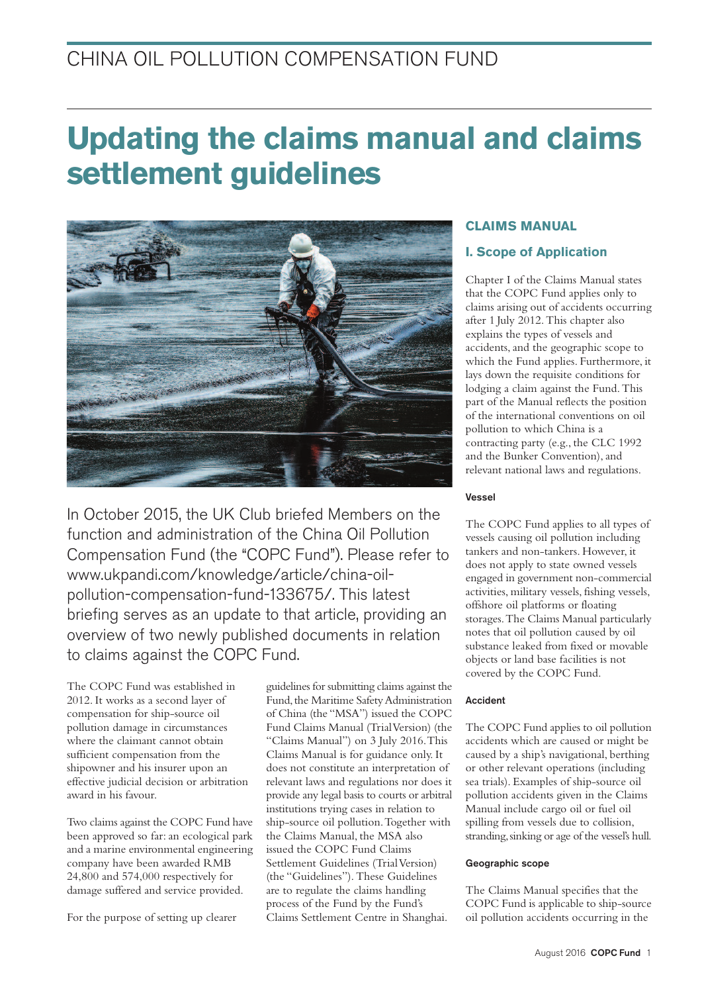# CHINA OIL POLLUTION COMPENSATION FUND

# **Updating the claims manual and claims settlement guidelines**



In October 2015, the UK Club briefed Members on the function and administration of the China Oil Pollution Compensation Fund (the "COPC Fund"). Please refer to www.ukpandi.com/knowledge/article/china-oilpollution-compensation-fund-133675/. This latest briefing serves as an update to that article, providing an overview of two newly published documents in relation to claims against the COPC Fund.

The COPC Fund was established in 2012. It works as a second layer of compensation for ship-source oil pollution damage in circumstances where the claimant cannot obtain sufficient compensation from the shipowner and his insurer upon an effective judicial decision or arbitration award in his favour.

Two claims against the COPC Fund have been approved so far:an ecological park and a marine environmental engineering company have been awarded RMB 24,800 and 574,000 respectively for damage suffered and service provided.

For the purpose of setting up clearer

guidelines for submitting claims against the Fund, the Maritime Safety Administration of China (the "MSA") issued the COPC Fund Claims Manual (TrialVersion) (the "Claims Manual") on 3 July 2016.This Claims Manual is for guidance only. It does not constitute an interpretation of relevant laws and regulations nor does it provide any legal basis to courts or arbitral institutions trying cases in relation to ship-source oil pollution.Together with the Claims Manual, the MSA also issued the COPC Fund Claims Settlement Guidelines (TrialVersion) (the "Guidelines").These Guidelines are to regulate the claims handling process of the Fund by the Fund's Claims Settlement Centre in Shanghai.

# **CLAIMS MANUAL**

## **I. Scope of Application**

Chapter I of the Claims Manual states that the COPC Fund applies only to claims arising out of accidents occurring after 1 July 2012.This chapter also explains the types of vessels and accidents,and the geographic scope to which the Fund applies. Furthermore, it lays down the requisite conditions for lodging a claim against the Fund.This part of the Manual reflects the position of the international conventions on oil pollution to which China is a contracting party (e.g., the CLC 1992 and the Bunker Convention), and relevant national laws and regulations.

#### Vessel

The COPC Fund applies to all types of vessels causing oil pollution including tankers and non-tankers. However, it does not apply to state owned vessels engaged in government non-commercial activities, military vessels, fishing vessels, offshore oil platforms or floating storages.The Claims Manual particularly notes that oil pollution caused by oil substance leaked from fixed or movable objects or land base facilities is not covered by the COPC Fund.

#### Accident

The COPC Fund applies to oil pollution accidents which are caused or might be caused by a ship's navigational, berthing or other relevant operations (including sea trials). Examples of ship-source oil pollution accidents given in the Claims Manual include cargo oil or fuel oil spilling from vessels due to collision, stranding, sinking or age of the vessel's hull.

#### Geographic scope

The Claims Manual specifies that the COPC Fund is applicable to ship-source oil pollution accidents occurring in the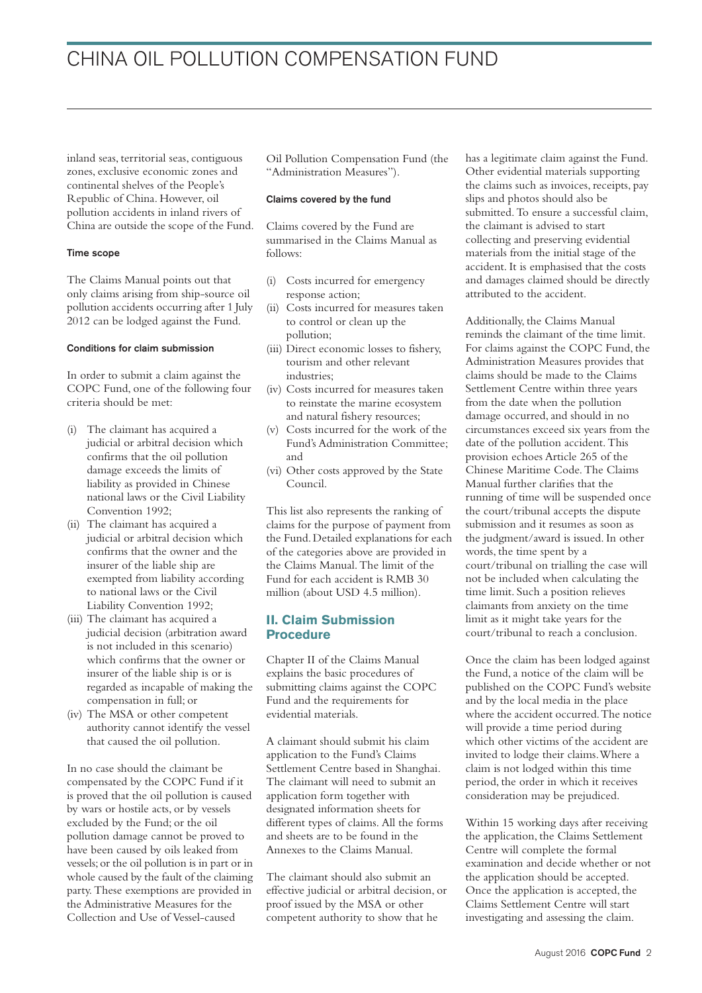inland seas, territorial seas, contiguous zones, exclusive economic zones and continental shelves of the People's Republic of China. However, oil pollution accidents in inland rivers of China are outside the scope of the Fund.

#### Time scope

The Claims Manual points out that only claims arising from ship-source oil pollution accidents occurring after 1 July 2012 can be lodged against the Fund.

#### Conditions for claim submission

In order to submit a claim against the COPC Fund, one of the following four criteria should be met:

- (i) The claimant has acquired a judicial or arbitral decision which confirms that the oil pollution damage exceeds the limits of liability as provided in Chinese national laws or the Civil Liability Convention 1992;
- (ii) The claimant has acquired a judicial or arbitral decision which confirms that the owner and the insurer of the liable ship are exempted from liability according to national laws or the Civil Liability Convention 1992;
- (iii) The claimant has acquired a judicial decision (arbitration award is not included in this scenario) which confirms that the owner or insurer of the liable ship is or is regarded as incapable of making the compensation in full; or
- (iv) The MSA or other competent authority cannot identify the vessel that caused the oil pollution.

In no case should the claimant be compensated by the COPC Fund if it is proved that the oil pollution is caused by wars or hostile acts, or by vessels excluded by the Fund; or the oil pollution damage cannot be proved to have been caused by oils leaked from vessels;or the oil pollution is in part or in whole caused by the fault of the claiming party.These exemptions are provided in the Administrative Measures for the Collection and Use of Vessel-caused

Oil Pollution Compensation Fund (the "Administration Measures").

#### Claims covered by the fund

Claims covered by the Fund are summarised in the Claims Manual as follows:

- (i) Costs incurred for emergency response action;
- (ii) Costs incurred for measures taken to control or clean up the pollution;
- (iii) Direct economic losses to fishery, tourism and other relevant industries;
- (iv) Costs incurred for measures taken to reinstate the marine ecosystem and natural fishery resources;
- (v) Costs incurred for the work of the Fund's Administration Committee; and
- (vi) Other costs approved by the State Council.

This list also represents the ranking of claims for the purpose of payment from the Fund.Detailed explanations for each of the categories above are provided in the Claims Manual.The limit of the Fund for each accident is RMB 30 million (about USD 4.5 million).

### **II. Claim Submission Procedure**

Chapter II of the Claims Manual explains the basic procedures of submitting claims against the COPC Fund and the requirements for evidential materials.

A claimant should submit his claim application to the Fund's Claims Settlement Centre based in Shanghai. The claimant will need to submit an application form together with designated information sheets for different types of claims. All the forms and sheets are to be found in the Annexes to the Claims Manual.

The claimant should also submit an effective judicial or arbitral decision, or proof issued by the MSA or other competent authority to show that he

has a legitimate claim against the Fund. Other evidential materials supporting the claims such as invoices, receipts, pay slips and photos should also be submitted.To ensure a successful claim, the claimant is advised to start collecting and preserving evidential materials from the initial stage of the accident. It is emphasised that the costs and damages claimed should be directly attributed to the accident.

Additionally, the Claims Manual reminds the claimant of the time limit. For claims against the COPC Fund, the Administration Measures provides that claims should be made to the Claims Settlement Centre within three years from the date when the pollution damage occurred, and should in no circumstances exceed six years from the date of the pollution accident.This provision echoes Article 265 of the Chinese Maritime Code.The Claims Manual further clarifies that the running of time will be suspended once the court/tribunal accepts the dispute submission and it resumes as soon as the judgment/award is issued. In other words, the time spent by a court/tribunal on trialling the case will not be included when calculating the time limit. Such a position relieves claimants from anxiety on the time limit as it might take years for the court/tribunal to reach a conclusion.

Once the claim has been lodged against the Fund, a notice of the claim will be published on the COPC Fund's website and by the local media in the place where the accident occurred.The notice will provide a time period during which other victims of the accident are invited to lodge their claims.Where a claim is not lodged within this time period, the order in which it receives consideration may be prejudiced.

Within 15 working days after receiving the application, the Claims Settlement Centre will complete the formal examination and decide whether or not the application should be accepted. Once the application is accepted, the Claims Settlement Centre will start investigating and assessing the claim.